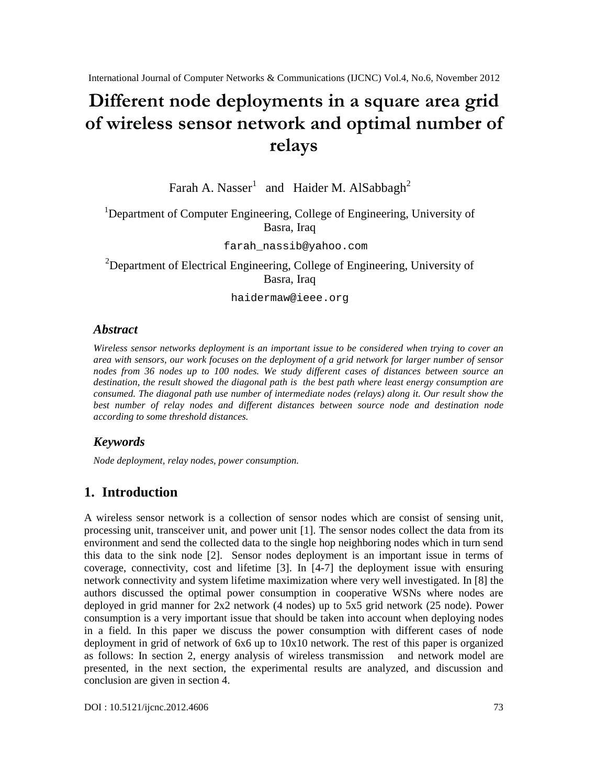# Differenodedeploymseinnat squarreegarid ofwirelesses as oneetwo as habit imal mber of relays

Farah A. Nasser and Haider M. AlSabbagh

# <sup>1</sup>Department of Computer Engineering, College of Engineering, University of Basra, Iraq

[farah\\_nassib@yahoo.com](mailto:farah_nassib@yahoo.com)

<sup>2</sup>Department of Electrical Engineering, College of Engineering, University of Basra, Iraq

[haidermaw@ieee.org](mailto:haidermaw@ieee.org)

# **Abstract**

Wireless sensor networks deployment is an important issue to be considered when trying to cover an area with sensors our work focuses on the deployment of a grid network for larger number of sensor nodes from 36 nodes up to 100 nodes. We study different confidences between source an destination, the result showed the diagonal path is the best path where least energy consumption are consumed. The diagonal path use number of intermediate nodes (relays) along it. Our result show the best number of rely nodes and different distances between source node and destination node according to some threshold distances.

# Keywords

Node deploymentelay nodespowerconsumption.

# 1. Introduction

A wireless sensor network is a collection of sensorales which are consist of sensing unit, processing unit, transceiver unit, and power *[In*]. The sensor nodes collect the data fritern environmentand send the collected data to the single hop neighboring nodes which in turn send this data to the sinkode [2]. Sensor nodes deployment is an important issue in terms of coverage,connectivity, cost and lifetime [3].In [4-7] the deployment issue with ensuring network connectivity and system lifetime maximization where very well stigated. In [8] the authors discussed the optimal power consumption in cooperative WSNs where nodes are deployed in grid manner for 2x2 network ( 4 nodes) up to 5x5 grid network 25 node). Power consumption is a very important issue that build be taken into accont when deploying nodes in a field. In this paper we discuss the power consumption with different cases of node deployment ingrid of network of 6x6 up to 100 network. The rest of this paper is organized as follows: In section 2, energy analysis of wireler ansmission and network model are presented, in the next section, the experimental results are analyzed, and discussion and conclusion are given in section 4.

DOI : 10.5121/ijcnc.2012.460 73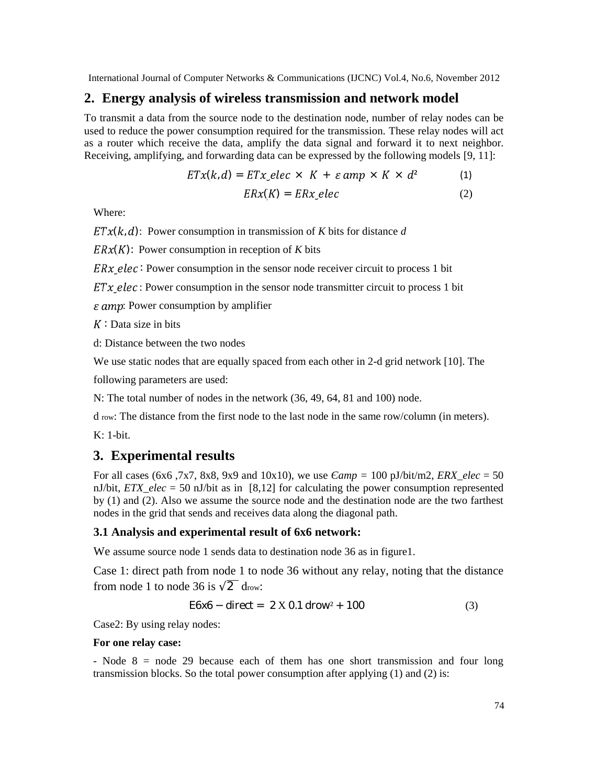## **2. Energy analysis of wireless transmission and network model**

To transmit a data from the source node to the destination node, number of relay nodes can be used to reduce the power consumption required for the transmission. These relay nodes will act as a router which receive the data, amplify the data signal and forward it to next neighbor. Receiving, amplifying, and forwarding data can be expressed by the following models [9, 11]:

$$
ETx(k, d) = ETx_{\mathcal{L}}elec \times K + \varepsilon \,amp; \times K \times d^2 \tag{1}
$$
\n
$$
ERx(K) = ERx_{\mathcal{L}}elec \tag{2}
$$

Where:

 $ETx(k, d)$ : Power consumption in transmission of *K* bits for distance *d* 

 $ERx(K)$ : Power consumption in reception of *K* bits

 $ERx$  elec Power consumption in the sensor node receiver circuit to process 1 bit

 $ETx_{\textit{=}}elec$ : Power consumption in the sensor node transmitter circuit to process 1 bit

 $\varepsilon$  amp: Power consumption by amplifier

 $K$  Data size in bits

d: Distance between the two nodes

We use static nodes that are equally spaced from each other in 2-d grid network [10]. The

following parameters are used:

N: The total number of nodes in the network (36, 49, 64, 81 and 100) node.

d row: The distance from the first node to the last node in the same row/column (in meters).

K: 1-bit.

## **3. Experimental results**

For all cases (6x6,7x7, 8x8, 9x9 and 10x10), we use  $\omega_{\text{imp}} = 100 \text{ pJ/bit/m2}, \text{ERX} \text{ elec} = 50$ nJ/bit, *ETX\_elec* = 50 nJ/bit as in [8,12] for calculating the power consumption represented by (1) and (2). Also we assume the source node and the destination node are the two farthest nodes in the grid that sends and receives data along the diagonal path.

#### **3.1 Analysis and experimental result of 6x6 network:**

We assume source node 1 sends data to destination node 36 as in figure 1.

Case 1: direct path from node 1 to node 36 without any relay, noting that the distance from node 1 to node 36 is  $\overline{2}$  drow:

$$
E6x6 - direct = 2 X 0.1 drow2 + 100
$$
 (3)

Case2: By using relay nodes:

#### **For one relay case:**

- Node 8 = node 29 because each of them has one short transmission and four long transmission blocks. So the total power consumption after applying (1) and (2) is: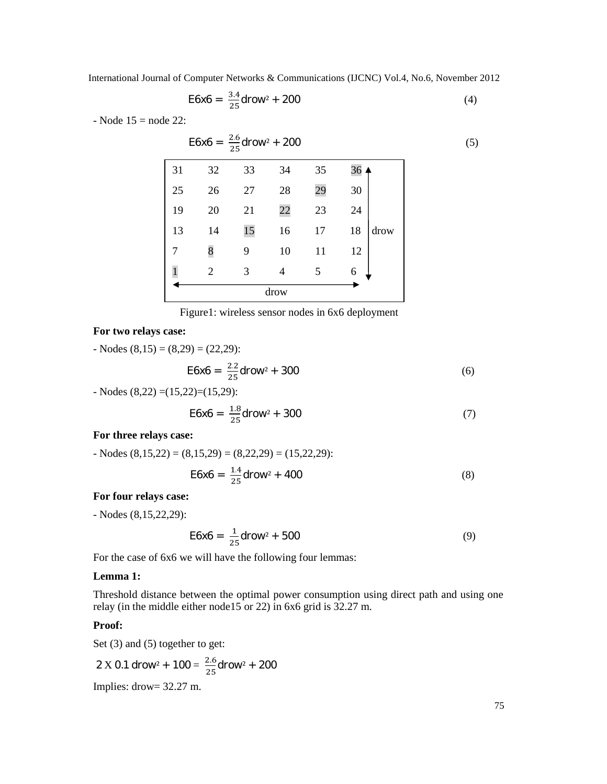$$
E6x6 = \frac{3.4}{25} \text{d} \cdot 200 \tag{4}
$$

- Node 15 = node 22:

$$
E6x6 = \frac{2.6}{25} \text{drow}^2 + 200
$$
\n31 32 33 34 35 36\n25 26 27 28 29 30\n19 20 21 22 23 24\n13 14 15 16 17 18 \text{drow}\n7 8 9 10 11 12\n1 2 3 4 5 6\n4

|  |  |  | Figure1: wireless sensor nodes in 6x6 deployment |
|--|--|--|--------------------------------------------------|
|  |  |  |                                                  |

## **For two relays case:**

- Nodes 
$$
(8,15) = (8,29) = (22,29)
$$
:  
\n
$$
E6x6 = \frac{2.2}{25} \text{drow}^2 + 300
$$
\n- Nodes  $(8,22) = (15,22) = (15,29)$ .

- Nodes (8,22) =(15,22)=(15,29):

$$
E6x6 = \frac{1.8}{25} \text{d} \cdot 300 \tag{7}
$$

## **For three relays case:**

- Nodes 
$$
(8,15,22) = (8,15,29) = (8,22,29) = (15,22,29)
$$
:  
 
$$
E6x6 = \frac{1.4}{25} \text{drow}^2 + 400
$$
 (8)

## **For four relays case:**

- Nodes (8,15,22,29):

$$
E6x6 = \frac{1}{25} \text{d} \cdot 500 \tag{9}
$$

For the case of 6x6 we will have the following four lemmas:

#### **Lemma 1:**

Threshold distance between the optimal power consumption using direct path and using one relay (in the middle either node15 or 22) in 6x6 grid is  $32.27$  m.

## **Proof:**

Set (3) and (5) together to get:

$$
2 \text{ X } 0.1 \text{ drow}^2 + 100 = \frac{2.6}{25} \text{ drow}^2 + 200
$$

Implies: drow= 32.27 m.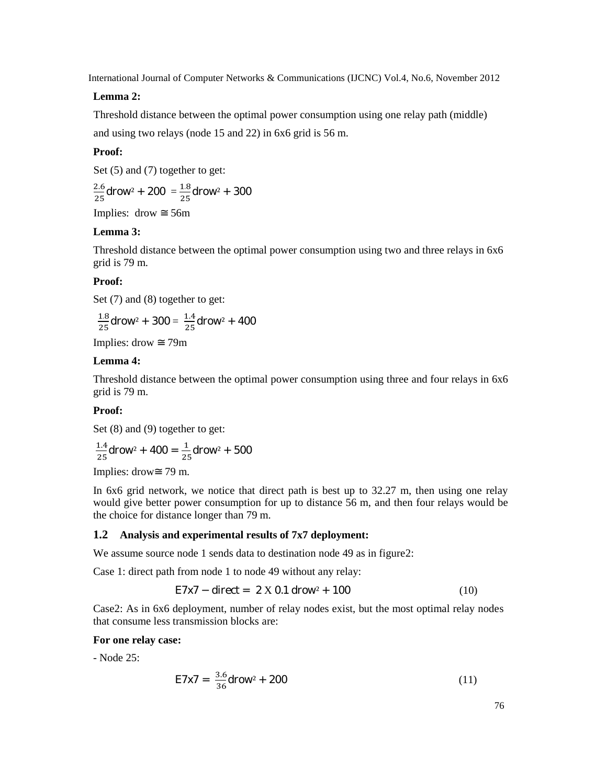## **Lemma 2:**

Threshold distance between the optimal power consumption using one relay path (middle) and using two relays (node 15 and 22) in 6x6 grid is 56 m.

#### **Proof:**

Set (5) and (7) together to get:

$$
\frac{2.6}{25} \text{d} \text{row}^2 + 200 = \frac{1.8}{25} \text{d} \text{row}^2 + 300
$$

Implies: drow 56m

#### **Lemma 3:**

Threshold distance between the optimal power consumption using two and three relays in 6x6 grid is 79 m.

#### **Proof:**

Set (7) and (8) together to get:

$$
\frac{1.8}{25} \text{d} \text{row}^2 + 300 = \frac{1.4}{25} \text{d} \text{row}^2 + 400
$$

Implies: drow 79m

#### **Lemma 4:**

Threshold distance between the optimal power consumption using three and four relays in 6x6 grid is 79 m.

#### **Proof:**

Set  $(8)$  and  $(9)$  together to get:

$$
\frac{1.4}{25} \text{d} \text{row}^2 + 400 = \frac{1}{25} \text{d} \text{row}^2 + 500
$$

Implies: drow 79 m.

In 6x6 grid network, we notice that direct path is best up to 32.27 m, then using one relay would give better power consumption for up to distance 56 m, and then four relays would be the choice for distance longer than 79 m.

#### **1.2 Analysis and experimental results of 7x7 deployment:**

We assume source node 1 sends data to destination node 49 as in figure2:

Case 1: direct path from node 1 to node 49 without any relay:

$$
E7x7 - direct = 2 X 0.1 drow2 + 100
$$
 (10)

Case2: As in 6x6 deployment, number of relay nodes exist, but the most optimal relay nodes that consume less transmission blocks are:

#### **For one relay case:**

- Node 25:

$$
E7x7 = \frac{3.6}{36} \text{d} \cdot \text{row}^2 + 200 \tag{11}
$$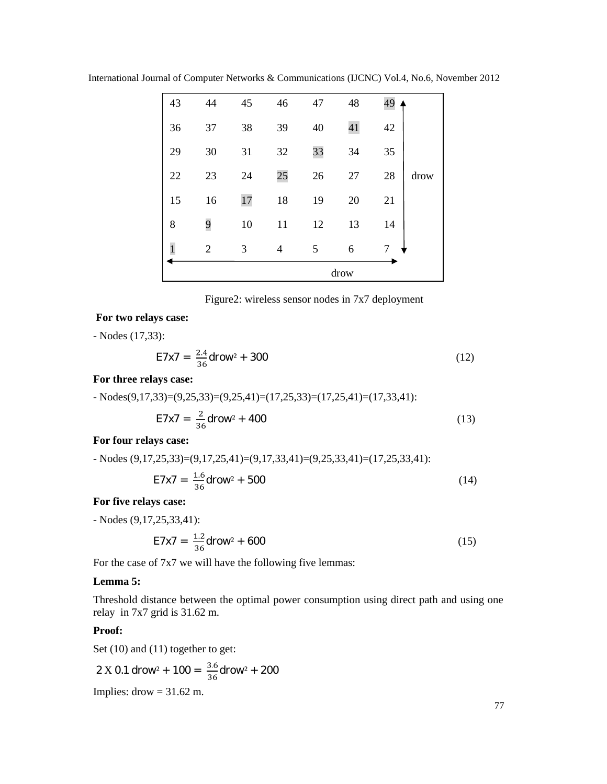|              | drow           |    |    |    |    |    |      |  |
|--------------|----------------|----|----|----|----|----|------|--|
| $\mathbf{1}$ | $\overline{2}$ | 3  | 4  | 5  | 6  | 7  |      |  |
| 8            | 9              | 10 | 11 | 12 | 13 | 14 |      |  |
| 15           | 16             | 17 | 18 | 19 | 20 | 21 |      |  |
| 22           | 23             | 24 | 25 | 26 | 27 | 28 | drow |  |
| 29           | 30             | 31 | 32 | 33 | 34 | 35 |      |  |
| 36           | 37             | 38 | 39 | 40 | 41 | 42 |      |  |
| 43           | 44             | 45 | 46 | 47 | 48 | 49 |      |  |

International Journal of Computer Networks & Communications (IJCNC) Vol.4, No.6, November 2012

## **For two relays case:**

- Nodes (17,33):

$$
E7x7 = \frac{2.4}{36} \text{d} \cdot \text{row}^2 + 300 \tag{12}
$$

#### **For three relays case:**

 $-$  Nodes(9,17,33)=(9,25,33)=(9,25,41)=(17,25,33)=(17,25,41)=(17,33,41):

$$
E7x7 = \frac{2}{36} \text{d} \cdot 100 \tag{13}
$$

## **For four relays case:**

- Nodes 
$$
(9,17,25,33)=(9,17,25,41)=(9,17,33,41)=(9,25,33,41)=(17,25,33,41)
$$
:  
\n
$$
E7x7 = \frac{1.6}{36} \text{d} \cdot 500 \tag{14}
$$

## **For five relays case:**

- Nodes (9,17,25,33,41):

$$
E7x7 = \frac{1.2}{36} \text{d} \cdot 600 \tag{15}
$$

For the case of 7x7 we will have the following five lemmas:

#### **Lemma 5:**

Threshold distance between the optimal power consumption using direct path and using one relay in 7x7 grid is 31.62 m.

## **Proof:**

Set (10) and (11) together to get:

2 X 0.1 drop<sup>2</sup> + 100 = 
$$
\frac{3.6}{36}
$$
 drop<sup>2</sup> + 200  
Implies: drop = 31.62 m.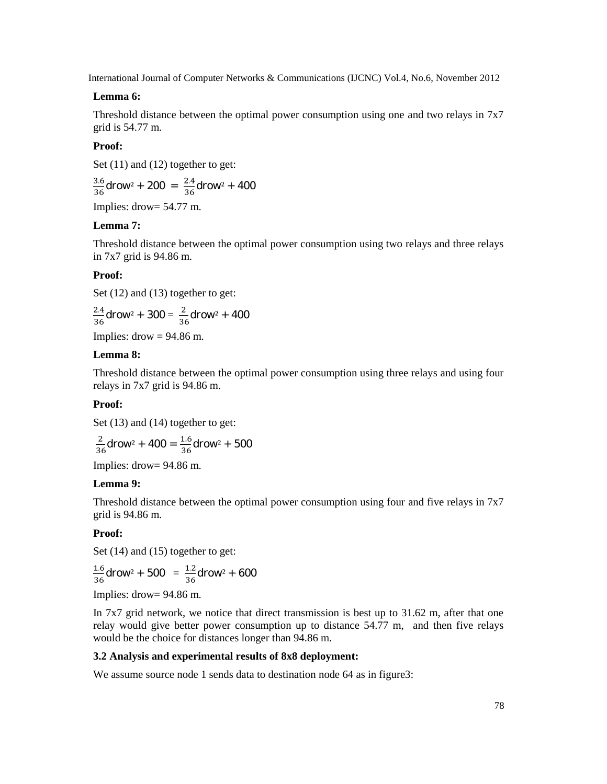## **Lemma 6:**

Threshold distance between the optimal power consumption using one and two relays in 7x7 grid is 54.77 m.

## **Proof:**

Set (11) and (12) together to get:

 $\frac{16}{16}$ drow<sup>2</sup> + 200 =  $\frac{2.4}{36}$ drow<sup>2</sup> + 400

Implies: drow= 54.77 m.

## **Lemma 7:**

Threshold distance between the optimal power consumption using two relays and three relays in 7x7 grid is 94.86 m.

#### **Proof:**

Set  $(12)$  and  $(13)$  together to get:

$$
\frac{2.4}{36} \text{d} \text{row}^2 + 300 = \frac{2}{36} \text{d} \text{row}^2 + 400
$$

Implies:  $\text{drow} = 94.86 \text{ m}$ .

#### **Lemma 8:**

Threshold distance between the optimal power consumption using three relays and using four relays in 7x7 grid is 94.86 m.

#### **Proof:**

Set  $(13)$  and  $(14)$  together to get:

$$
\frac{2}{36}
$$
 drow<sup>2</sup> + 400 =  $\frac{1.6}{36}$  drow<sup>2</sup> + 500  
Implies: drow= 94.86 m.

#### **Lemma 9:**

Threshold distance between the optimal power consumption using four and five relays in 7x7 grid is 94.86 m.

#### **Proof:**

Set  $(14)$  and  $(15)$  together to get:

$$
\frac{1.6}{36} \text{d} \text{row}^2 + 500 = \frac{1.2}{36} \text{d} \text{row}^2 + 600
$$
  
Implies:  $\text{d} \text{row} = 94.86 \text{ m.}$ 

In 7x7 grid network, we notice that direct transmission is best up to 31.62 m, after that one relay would give better power consumption up to distance 54.77 m, and then five relays would be the choice for distances longer than 94.86 m.

#### **3.2 Analysis and experimental results of 8x8 deployment:**

We assume source node 1 sends data to destination node 64 as in figure3: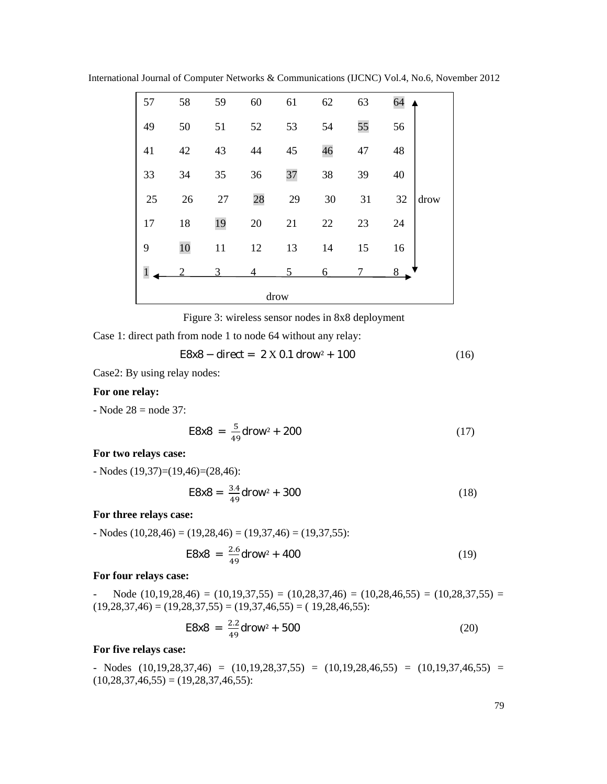International Journal of Computer Networks & Communications (IJCNC) Vol.4, No.6, November 2012

| 57           | 58 | 59 | 60 | 61 | 62 | 63 | 64         |  |  |
|--------------|----|----|----|----|----|----|------------|--|--|
| 49           | 50 | 51 | 52 | 53 | 54 | 55 | 56         |  |  |
| 41           | 42 | 43 | 44 | 45 | 46 | 47 | 48         |  |  |
| 33           | 34 | 35 | 36 | 37 | 38 | 39 | 40         |  |  |
| 25           | 26 | 27 | 28 | 29 | 30 | 31 | 32<br>drow |  |  |
| 17           | 18 | 19 | 20 | 21 | 22 | 23 | 24         |  |  |
| 9            | 10 | 11 | 12 | 13 | 14 | 15 | 16         |  |  |
| $\mathbf{1}$ |    | 3  | 4  | 5  | 6  |    | 8          |  |  |
| drow         |    |    |    |    |    |    |            |  |  |

Figure 3: wireless sensor nodes in 8x8 deployment

Case 1: direct path from node 1 to node 64 without any relay:

$$
E8x8 - direct = 2 X 0.1 drop^2 + 100
$$
 (16)

Case2: By using relay nodes:

## **For one relay:**

 $-$  Node 28 = node 37:

$$
E8x8 = \frac{5}{49} \text{d} \cdot 200 \tag{17}
$$

## **For two relays case:**

- Nodes (19,37)=(19,46)=(28,46):

$$
E8x8 = \frac{3.4}{49} \text{d} \cdot 300 \tag{18}
$$

#### **For three relays case:**

 $-$  Nodes (10,28,46) = (19,28,46) = (19,37,46) = (19,37,55):

$$
E8x8 = \frac{2.6}{49} \text{d} \cdot 100 \tag{19}
$$

#### **For four relays case:**

Node  $(10,19,28,46) = (10,19,37,55) = (10,28,37,46) = (10,28,46,55) = (10,28,37,55) =$  $(19,28,37,46) = (19,28,37,55) = (19,37,46,55) = (19,28,46,55)$ :

$$
E8x8 = \frac{2.2}{49} \text{d} \cdot 500 \tag{20}
$$

#### **For five relays case:**

- Nodes (10,19,28,37,46) = (10,19,28,37,55) = (10,19,28,46,55) = (10,19,37,46,55) =  $(10,28,37,46,55) = (19,28,37,46,55)$ :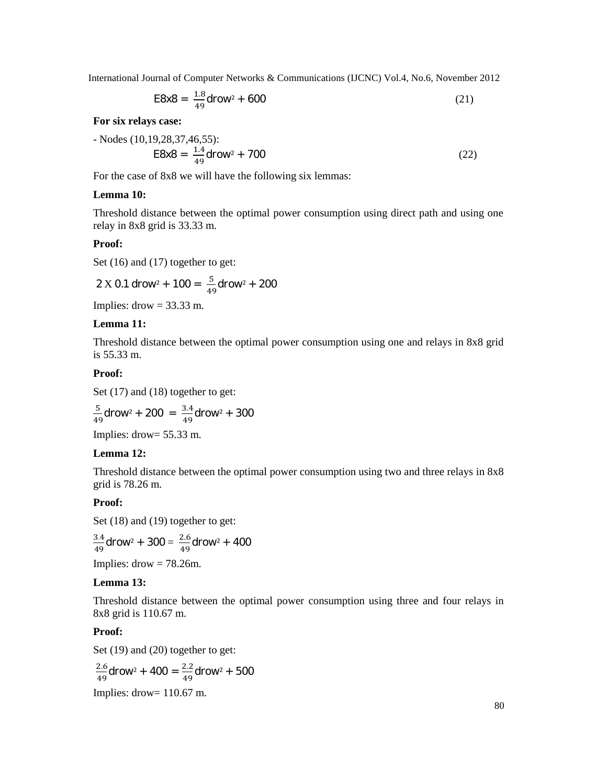$$
E8x8 = \frac{1.8}{49} \text{d} \cdot 600 \tag{21}
$$

## **For six relays case:**

- Nodes (10,19,28,37,46,55):  
\n
$$
E8x8 = \frac{1.4}{49} \text{d} \cdot 700
$$
\n(22)

For the case of 8x8 we will have the following six lemmas:

## **Lemma 10:**

Threshold distance between the optimal power consumption using direct path and using one relay in 8x8 grid is 33.33 m.

## **Proof:**

Set (16) and (17) together to get:

$$
2 \times 0.1
$$
 drop<sup>2</sup> + 100 =  $\frac{5}{49}$ drop<sup>2</sup> + 200

Implies:  $\text{drow} = 33.33 \text{ m}$ .

#### **Lemma 11:**

Threshold distance between the optimal power consumption using one and relays in 8x8 grid is 55.33 m.

#### **Proof:**

Set  $(17)$  and  $(18)$  together to get:

$$
\frac{5}{49} \text{d} \text{row}^2 + 200 = \frac{3.4}{49} \text{d} \text{row}^2 + 300
$$

Implies: drow= 55.33 m.

#### **Lemma 12:**

Threshold distance between the optimal power consumption using two and three relays in 8x8 grid is 78.26 m.

## **Proof:**

Set  $(18)$  and  $(19)$  together to get:

$$
\frac{3.4}{49} \text{d} \text{row}^2 + 300 = \frac{2.6}{49} \text{d} \text{row}^2 + 400
$$

Implies:  $drow = 78.26m$ .

## **Lemma 13:**

Threshold distance between the optimal power consumption using three and four relays in 8x8 grid is 110.67 m.

## **Proof:**

Set (19) and (20) together to get:

$$
\frac{2.6}{49} \text{d} \cdot \text{row}^2 + 400 = \frac{2.2}{49} \text{d} \cdot \text{row}^2 + 500
$$

Implies: drow= 110.67 m.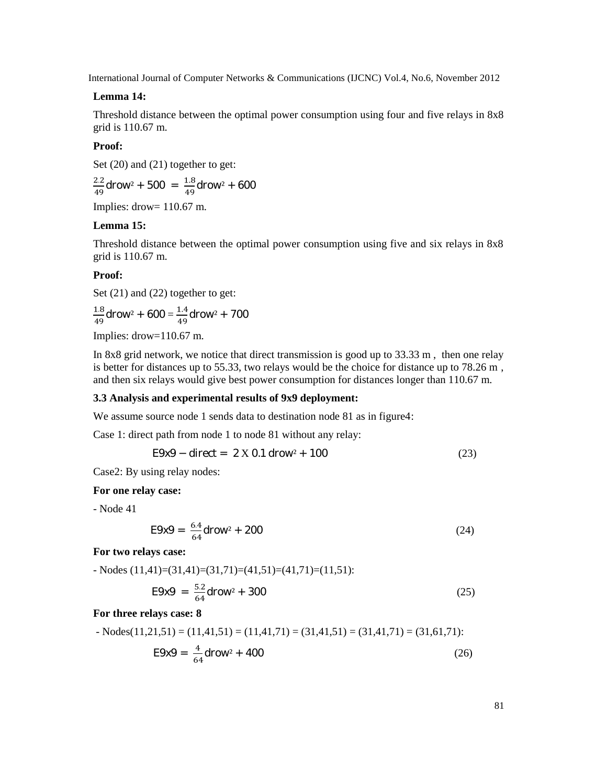## **Lemma 14:**

Threshold distance between the optimal power consumption using four and five relays in 8x8 grid is 110.67 m.

## **Proof:**

Set (20) and (21) together to get:

 $\frac{12}{19}$ drow<sup>2</sup> + 500 =  $\frac{1.8}{49}$ drow<sup>2</sup> + 600

Implies: drow= 110.67 m.

## **Lemma 15:**

Threshold distance between the optimal power consumption using five and six relays in 8x8 grid is 110.67 m.

#### **Proof:**

Set (21) and (22) together to get:

 $\frac{1.8}{1.9}$ drow $^2$  + 600 =  $\frac{1.4}{49}$ drow $^2$  + 700

Implies: drow=110.67 m.

In 8x8 grid network, we notice that direct transmission is good up to 33.33 m , then one relay is better for distances up to 55.33, two relays would be the choice for distance up to 78.26 m , and then six relays would give best power consumption for distances longer than 110.67 m.

## **3.3 Analysis and experimental results of 9x9 deployment:**

We assume source node 1 sends data to destination node 81 as in figure4:

Case 1: direct path from node 1 to node 81 without any relay:

$$
E9x9 - direct = 2 X 0.1 drow2 + 100
$$
 (23)

Case2: By using relay nodes:

#### **For one relay case:**

- Node 41

$$
E9x9 = \frac{6.4}{64} \text{d} \cdot 200 \tag{24}
$$

**For two relays case:**

- Nodes (11,41)=(31,41)=(31,71)=(41,51)=(41,71)=(11,51):

$$
E9x9 = \frac{5.2}{64} \text{d} \cdot 300 \tag{25}
$$

#### **For three relays case: 8**

- Nodes(11,21,51) = (11,41,51) = (11,41,71) = (31,41,51) = (31,41,71) = (31,61,71):  
E9x9 = 
$$
\frac{4}{64}
$$
 dropw<sup>2</sup> + 400 (26)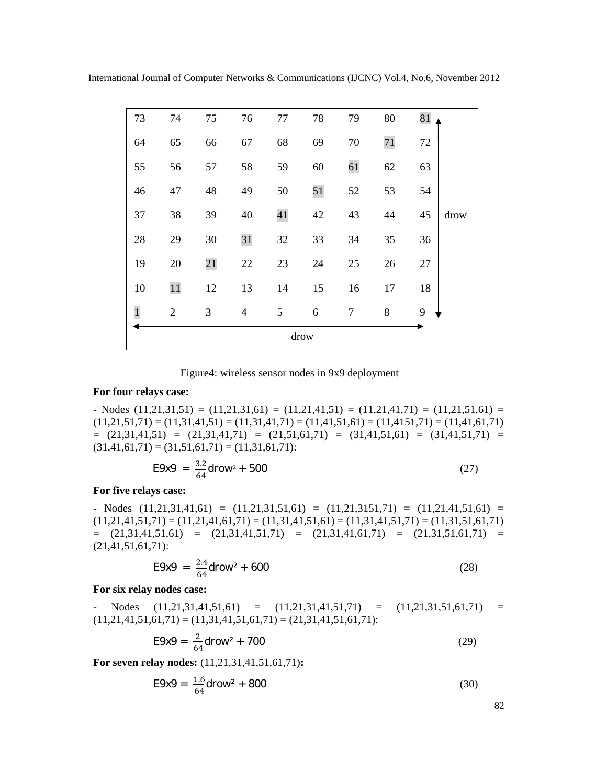| 73          | 74             | 75 | 76             | 77     | 78 | 79     | 80 | 81 |      |  |
|-------------|----------------|----|----------------|--------|----|--------|----|----|------|--|
| 64          | 65             | 66 | 67             | 68     | 69 | 70     | 71 | 72 |      |  |
| 55          | 56             | 57 | 58             | 59     | 60 | 61     | 62 | 63 |      |  |
| 46          | 47             | 48 | 49             | 50     | 51 | 52     | 53 | 54 |      |  |
| 37          | 38             | 39 | 40             | 41     | 42 | 43     | 44 | 45 | drow |  |
| 28          | 29             | 30 | 31             | $32\,$ | 33 | 34     | 35 | 36 |      |  |
| 19          | 20             | 21 | $22\,$         | 23     | 24 | 25     | 26 | 27 |      |  |
| 10          | $11\,$         | 12 | 13             | 14     | 15 | 16     | 17 | 18 |      |  |
| $\mathbf 1$ | $\mathfrak{2}$ | 3  | $\overline{4}$ | 5      | 6  | $\tau$ | 8  | 9  |      |  |
| drow        |                |    |                |        |    |        |    |    |      |  |

Figure4: wireless sensor nodes in 9x9 deployment

## **For four relays case:**

 $-$  Nodes  $(11,21,31,51) = (11,21,31,61) = (11,21,41,51) = (11,21,41,71) = (11,21,51,61) =$  $(11,21,51,71) = (11,31,41,51) = (11,31,41,71) = (11,41,51,61) = (11,4151,71) = (11,41,61,71)$  $=$   $(21,31,41,51) =$   $(21,31,41,71) =$   $(21,51,61,71) =$   $(31,41,51,61) =$   $(31,41,51,71) =$  $(31,41,61,71) = (31,51,61,71) = (11,31,61,71)$ :

$$
E9x9 = \frac{3.2}{64} \text{d} \cdot 500 \tag{27}
$$

## **For five relays case:**

 $-$  Nodes  $(11,21,31,41,61) = (11,21,31,51,61) = (11,21,3151,71) = (11,21,41,51,61) =$  $(11,21,41,51,71) = (11,21,41,61,71) = (11,31,41,51,61) = (11,31,41,51,71) = (11,31,51,61,71)$  $=(21,31,41,51,61) = (21,31,41,51,71) = (21,31,41,61,71) = (21,31,51,61,71) =$  $(21,41,51,61,71)$ :

$$
E9x9 = \frac{2.4}{64} \text{d} \cdot 100 \tag{28}
$$

## **For six relay nodes case:**

- Nodes (11,21,31,41,51,61) = (11,21,31,41,51,71) = (11,21,31,51,61,71) =  $(11,21,41,51,61,71) = (11,31,41,51,61,71) = (21,31,41,51,61,71)$ :

$$
E9x9 = \frac{2}{64} \text{d} \cdot 700 \tag{29}
$$

**For seven relay nodes:** (11,21,31,41,51,61,71)**:**

$$
E9x9 = \frac{1.6}{64} \text{d} \cdot 100 \tag{30}
$$

82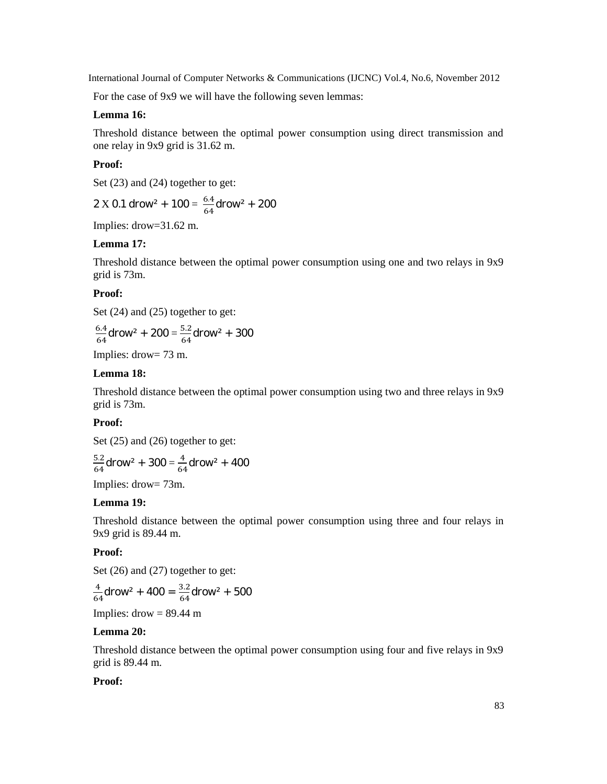For the case of 9x9 we will have the following seven lemmas:

## **Lemma 16:**

Threshold distance between the optimal power consumption using direct transmission and one relay in 9x9 grid is 31.62 m.

#### **Proof:**

Set  $(23)$  and  $(24)$  together to get:

2 X 0.1 drop<sup>2</sup> + 100 = 
$$
\frac{6.4}{64}
$$
 drop<sup>2</sup> + 200

Implies: drow=31.62 m.

## **Lemma 17:**

Threshold distance between the optimal power consumption using one and two relays in 9x9 grid is 73m.

## **Proof:**

Set  $(24)$  and  $(25)$  together to get:

$$
\frac{6.4}{64} \text{d} \cdot \text{row}^2 + 200 = \frac{5.2}{64} \text{d} \cdot \text{row}^2 + 300
$$

Implies: drow= 73 m.

## **Lemma 18:**

Threshold distance between the optimal power consumption using two and three relays in 9x9 grid is 73m.

## **Proof:**

Set  $(25)$  and  $(26)$  together to get:

$$
\frac{5.2}{64} \text{d} \cdot \text{row}^2 + 300 = \frac{4}{64} \text{d} \cdot \text{row}^2 + 400
$$

Implies: drow= 73m.

#### **Lemma 19:**

Threshold distance between the optimal power consumption using three and four relays in 9x9 grid is 89.44 m.

#### **Proof:**

Set (26) and (27) together to get:

$$
\frac{4}{64}
$$
drop<sup>2</sup> + 400 =  $\frac{3.2}{64}$ drop<sup>2</sup> + 500

Implies:  $drow = 89.44$  m

## **Lemma 20:**

Threshold distance between the optimal power consumption using four and five relays in 9x9 grid is 89.44 m.

## **Proof:**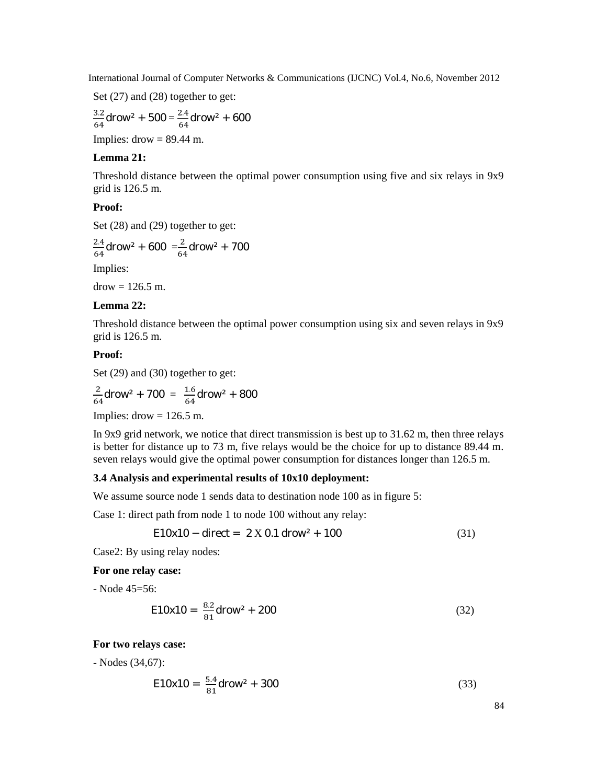Set (27) and (28) together to get:

$$
\frac{3.2}{64} \text{d} \text{row}^2 + 500 = \frac{2.4}{64} \text{d} \text{row}^2 + 600
$$

Implies:  $d$ row = 89.44 m.

## **Lemma 21:**

Threshold distance between the optimal power consumption using five and six relays in 9x9 grid is 126.5 m.

## **Proof:**

Set  $(28)$  and  $(29)$  together to get:

$$
\frac{2.4}{64} \text{d} \text{row}^2 + 600 = \frac{2}{64} \text{d} \text{row}^2 + 700
$$

Implies:

 $d$ row = 126.5 m.

## **Lemma 22:**

Threshold distance between the optimal power consumption using six and seven relays in 9x9 grid is 126.5 m.

#### **Proof:**

Set (29) and (30) together to get:

$$
\frac{2}{64} \text{d} \text{row}^2 + 700 = \frac{1.6}{64} \text{d} \text{row}^2 + 800
$$

Implies:  $\text{drow} = 126.5 \text{ m}$ .

In 9x9 grid network, we notice that direct transmission is best up to 31.62 m, then three relays is better for distance up to 73 m, five relays would be the choice for up to distance 89.44 m. seven relays would give the optimal power consumption for distances longer than 126.5 m.

## **3.4 Analysis and experimental results of 10x10 deployment:**

We assume source node 1 sends data to destination node 100 as in figure 5:

Case 1: direct path from node 1 to node 100 without any relay:

$$
E10x10 - direct = 2 X 0.1 drow2 + 100
$$
 (31)

Case2: By using relay nodes:

**For one relay case:**

- Node 45=56:

$$
E10x10 = \frac{8.2}{81} \text{d} \cdot 100x^2 + 200 \tag{32}
$$

## **For two relays case:**

- Nodes (34,67):

$$
E10x10 = \frac{5.4}{81} \text{d} \cdot 300 \tag{33}
$$

84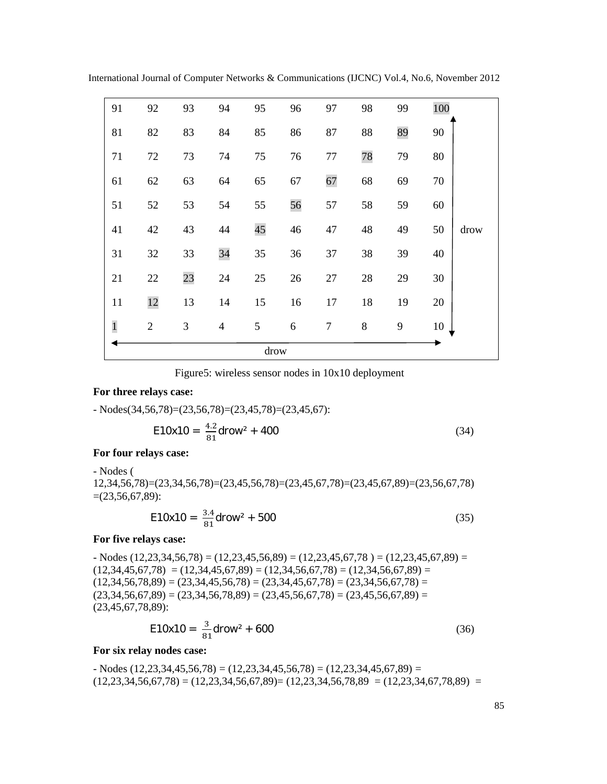| 91           | 92             | 93 | 94             | 95 | 96 | 97     | 98    | 99 | 100 |      |
|--------------|----------------|----|----------------|----|----|--------|-------|----|-----|------|
| 81           | 82             | 83 | 84             | 85 | 86 | 87     | 88    | 89 | 90  |      |
| 71           | 72             | 73 | 74             | 75 | 76 | $77\,$ | 78    | 79 | 80  |      |
| 61           | 62             | 63 | 64             | 65 | 67 | 67     | 68    | 69 | 70  |      |
| 51           | 52             | 53 | 54             | 55 | 56 | 57     | 58    | 59 | 60  |      |
| 41           | 42             | 43 | 44             | 45 | 46 | 47     | 48    | 49 | 50  | drow |
| 31           | 32             | 33 | 34             | 35 | 36 | 37     | 38    | 39 | 40  |      |
| 21           | 22             | 23 | 24             | 25 | 26 | $27\,$ | 28    | 29 | 30  |      |
| 11           | 12             | 13 | 14             | 15 | 16 | 17     | 18    | 19 | 20  |      |
| $\mathbf{1}$ | $\overline{2}$ | 3  | $\overline{4}$ | 5  | 6  | $\tau$ | $8\,$ | 9  | 10  |      |
|              | drow           |    |                |    |    |        |       |    |     |      |

International Journal of Computer Networks & Communications (IJCNC) Vol.4, No.6, November 2012

Figure5: wireless sensor nodes in 10x10 deployment

#### **For three relays case:**

- Nodes(34,56,78)=(23,56,78)=(23,45,78)=(23,45,67):

$$
E10x10 = \frac{4.2}{81} \text{d} \cdot 100 \tag{34}
$$

#### **For four relays case:**

- Nodes ( 12,34,56,78)=(23,34,56,78)=(23,45,56,78)=(23,45,67,78)=(23,45,67,89)=(23,56,67,78)  $=(23,56,67,89)$ :

$$
E10x10 = \frac{3.4}{81} \text{d} \cdot 500 \tag{35}
$$

#### **For five relays case:**

 $-$  Nodes  $(12,23,34,56,78) = (12,23,45,56,89) = (12,23,45,67,78) = (12,23,45,67,89) =$  $(12,34,45,67,78) = (12,34,45,67,89) = (12,34,56,67,78) = (12,34,56,67,89) =$  $(12,34,56,78,89) = (23,34,45,56,78) = (23,34,45,67,78) = (23,34,56,67,78) =$  $(23,34,56,67,89) = (23,34,56,78,89) = (23,45,56,67,78) = (23,45,56,67,89) =$ (23,45,67,78,89):

$$
E10x10 = \frac{3}{81} \text{d} \cdot 600 \tag{36}
$$

## **For six relay nodes case:**

 $-$  Nodes (12,23,34,45,56,78) = (12,23,34,45,56,78) = (12,23,34,45,67,89) =  $(12,23,34,56,67,78) = (12,23,34,56,67,89) = (12,23,34,56,78,89) = (12,23,34,67,78,89) =$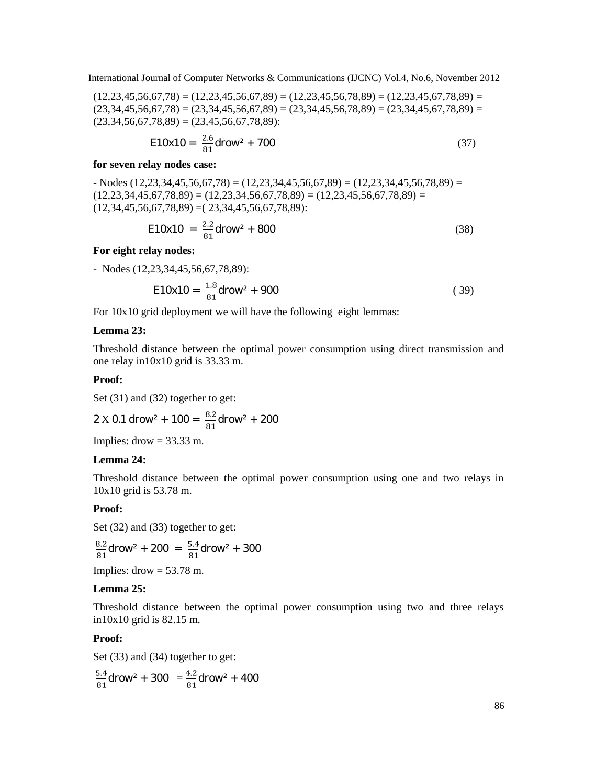$(12,23,45,56,67,78) = (12,23,45,56,67,89) = (12,23,45,56,78,89) = (12,23,45,67,78,89) =$  $(23,34,45,56,67,78) = (23,34,45,56,67,89) = (23,34,45,56,78,89) = (23,34,45,67,78,89) =$  $(23,34,56,67,78,89) = (23,45,56,67,78,89)$ :

$$
E10x10 = \frac{2.6}{81} \text{d} \cdot 700 \tag{37}
$$

#### **for seven relay nodes case:**

 $-$  Nodes (12,23,34,45,56,67,78) = (12,23,34,45,56,67,89) = (12,23,34,45,56,78,89) =  $(12,23,34,45,67,78,89) = (12,23,34,56,67,78,89) = (12,23,45,56,67,78,89) =$  $(12,34,45,56,67,78,89) = (23,34,45,56,67,78,89)$ :

$$
E10x10 = \frac{2.2}{81} \text{d} \cdot 100x^2 + 800 \tag{38}
$$

#### **For eight relay nodes:**

- Nodes (12,23,34,45,56,67,78,89):

$$
E10x10 = \frac{1.8}{81} \text{d} \cdot 900 \tag{39}
$$

For 10x10 grid deployment we will have the following eight lemmas:

#### **Lemma 23:**

Threshold distance between the optimal power consumption using direct transmission and one relay in10x10 grid is 33.33 m.

#### **Proof:**

Set (31) and (32) together to get:

$$
2 \text{ X } 0.1 \text{ drow}^2 + 100 = \frac{8.2}{81} \text{ drow}^2 + 200
$$

Implies:  $drow = 33.33$  m.

#### **Lemma 24:**

Threshold distance between the optimal power consumption using one and two relays in 10x10 grid is 53.78 m.

#### **Proof:**

Set (32) and (33) together to get:

 $\frac{12}{11}$ drow<sup>2</sup> + 200 =  $\frac{5.4}{81}$ drow<sup>2</sup> + 300

Implies:  $drow = 53.78$  m.

## **Lemma 25:**

Threshold distance between the optimal power consumption using two and three relays in10x10 grid is 82.15 m.

#### **Proof:**

Set (33) and (34) together to get:

 $\frac{.4}{11}$ drow<sup>2</sup> + 300 =  $\frac{4.2}{81}$ drow<sup>2</sup> + 400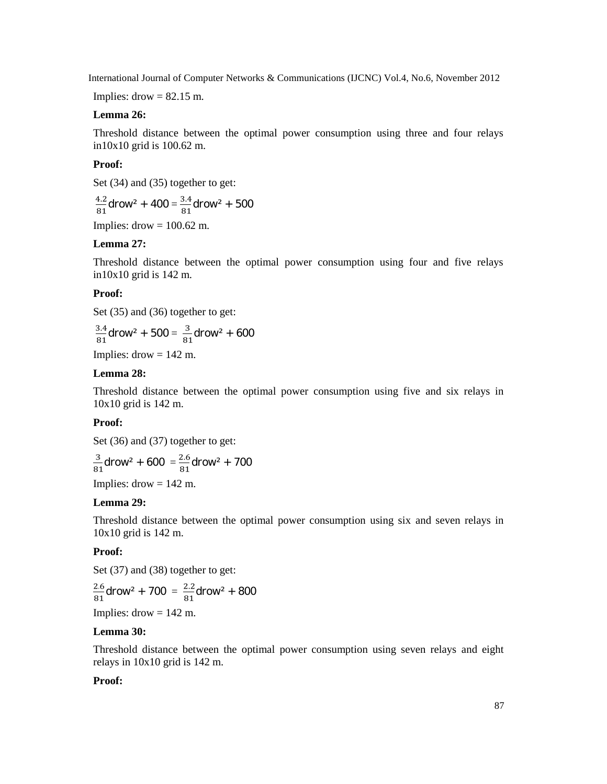Implies:  $\text{drow} = 82.15 \text{ m}$ .

## **Lemma 26:**

Threshold distance between the optimal power consumption using three and four relays in10x10 grid is 100.62 m.

#### **Proof:**

Set (34) and (35) together to get:

 $\frac{12}{11}$ drow<sup>2</sup> + 400 =  $\frac{3.4}{81}$ drow<sup>2</sup> + 500

Implies:  $\text{drow} = 100.62 \text{ m}$ .

## **Lemma 27:**

Threshold distance between the optimal power consumption using four and five relays in10x10 grid is 142 m.

## **Proof:**

Set (35) and (36) together to get:

$$
\frac{3.4}{81}
$$
draw<sup>2</sup> + 500 =  $\frac{3}{81}$ draw<sup>2</sup> + 600

Implies:  $drow = 142$  m.

## **Lemma 28:**

Threshold distance between the optimal power consumption using five and six relays in 10x10 grid is 142 m.

## **Proof:**

Set (36) and (37) together to get:

$$
\frac{3}{81} \text{d} \text{row}^2 + 600 = \frac{2.6}{81} \text{d} \text{row}^2 + 700
$$

Implies:  $d$ row = 142 m.

#### **Lemma 29:**

Threshold distance between the optimal power consumption using six and seven relays in 10x10 grid is 142 m.

## **Proof:**

Set (37) and (38) together to get:

$$
\frac{2.6}{81}
$$
drop<sup>2</sup> + 700 =  $\frac{2.2}{81}$ drop<sup>2</sup> + 800

Implies:  $d$ row = 142 m.

## **Lemma 30:**

Threshold distance between the optimal power consumption using seven relays and eight relays in 10x10 grid is 142 m.

## **Proof:**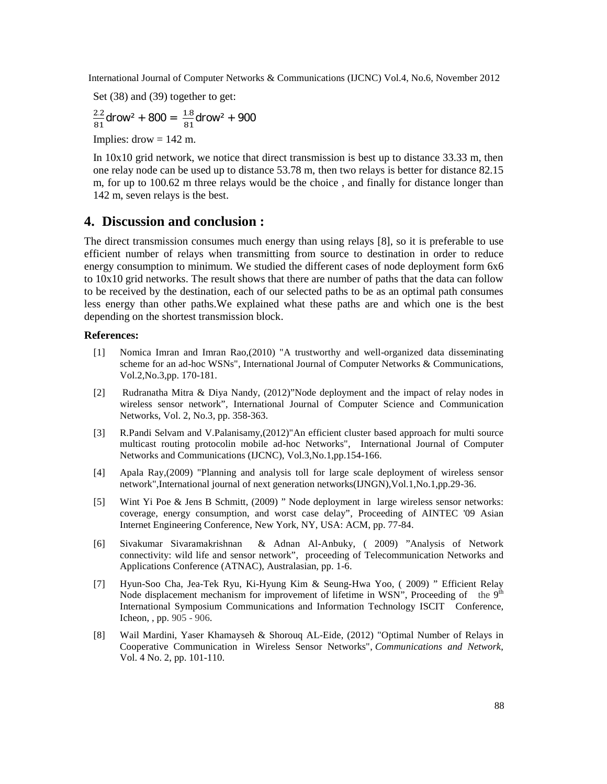Set (38) and (39) together to get:

$$
\frac{2.2}{81}
$$
draw<sup>2</sup> + 800 =  $\frac{1.8}{81}$ draw<sup>2</sup> + 900

Implies:  $drow = 142$  m.

In 10x10 grid network, we notice that direct transmission is best up to distance 33.33 m, then one relay node can be used up to distance 53.78 m, then two relays is better for distance 82.15 m, for up to 100.62 m three relays would be the choice , and finally for distance longer than 142 m, seven relays is the best.

## **4. Discussion and conclusion :**

The direct transmission consumes much energy than using relays [8], so it is preferable to use efficient number of relays when transmitting from source to destination in order to reduce energy consumption to minimum. We studied the different cases of node deployment form 6x6 to 10x10 grid networks. The result shows that there are number of paths that the data can follow to be received by the destination, each of our selected paths to be as an optimal path consumes less energy than other paths.We explained what these paths are and which one is the best depending on the shortest transmission block.

#### **References:**

- [1] Nomica Imran and Imran Rao,(2010) "A trustworthy and well-organized data disseminating scheme for an ad-hoc WSNs", International Journal of Computer Networks & Communications, Vol.2,No.3,pp. 170-181.
- [2] Rudranatha Mitra & Diya Nandy, (2012)"Node deployment and the impact of relay nodes in wireless sensor network", International Journal of Computer Science and Communication Networks, Vol. 2, No.3, pp. 358-363.
- [3] R.Pandi Selvam and V.Palanisamy,(2012)"An efficient cluster based approach for multi source multicast routing protocolin mobile ad-hoc Networks", International Journal of Computer Networks and Communications (IJCNC), Vol.3,No.1,pp.154-166.
- [4] Apala Ray,(2009) "Planning and analysis toll for large scale deployment of wireless sensor network",International journal of next generation networks(IJNGN),Vol.1,No.1,pp.29-36.
- [5] Wint Yi Poe & Jens B Schmitt, (2009) " Node deployment in large wireless sensor networks: coverage, energy consumption, and worst case delay", Proceeding of AINTEC '09 Asian Internet Engineering Conference, New York, NY, USA: ACM, pp. 77-84.
- [6] Sivakumar Sivaramakrishnan & Adnan Al-Anbuky, ( 2009) "Analysis of Network connectivity: wild life and sensor network", proceeding of Telecommunication Networks and Applications Conference (ATNAC), Australasian, pp. 1-6.
- [7] Hyun-Soo Cha, Jea-Tek Ryu, Ki-Hyung Kim & Seung-Hwa Yoo, ( 2009) " Efficient Relay Node displacement mechanism for improvement of lifetime in WSN", Proceeding of the  $9<sup>th</sup>$ International Symposium Communications and Information Technology ISCIT Conference, Icheon, , pp. 905 - 906.
- [8] Wail Mardini, Yaser Khamayseh & Shorouq AL-Eide, (2012) "Optimal Number of Relays in Cooperative Communication in Wireless Sensor Networks", *Communications and Network*, Vol. 4 No. 2, pp. 101-110.